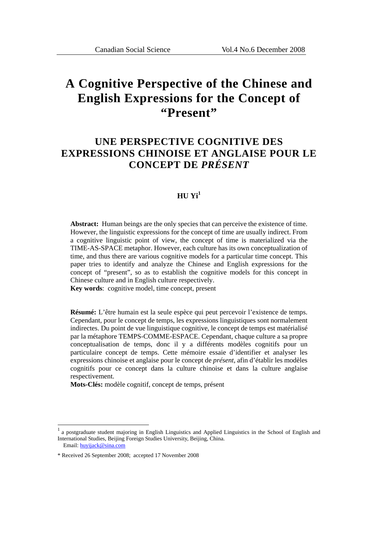# **A Cognitive Perspective of the Chinese and English Expressions for the Concept of "Present"**

## **UNE PERSPECTIVE COGNITIVE DES EXPRESSIONS CHINOISE ET ANGLAISE POUR LE CONCEPT DE** *PRÉSENT*

### **HU**  $\mathbf{Vi}^1$

**Abstract:** Human beings are the only species that can perceive the existence of time. However, the linguistic expressions for the concept of time are usually indirect. From a cognitive linguistic point of view, the concept of time is materialized via the TIME-AS-SPACE metaphor. However, each culture has its own conceptualization of time, and thus there are various cognitive models for a particular time concept. This paper tries to identify and analyze the Chinese and English expressions for the concept of "present", so as to establish the cognitive models for this concept in Chinese culture and in English culture respectively.

**Key words**: cognitive model, time concept, present

**Résumé:** L'être humain est la seule espèce qui peut percevoir l'existence de temps. Cependant, pour le concept de temps, les expressions linguistiques sont normalement indirectes. Du point de vue linguistique cognitive, le concept de temps est matérialisé par la métaphore TEMPS-COMME-ESPACE. Cependant, chaque culture a sa propre conceptualisation de temps, donc il y a différents modèles cognitifs pour un particulaire concept de temps. Cette mémoire essaie d'identifier et analyser les expressions chinoise et anglaise pour le concept de *présent*, afin d'établir les modèles cognitifs pour ce concept dans la culture chinoise et dans la culture anglaise respectivement.

**Mots-Clés:** modèle cognitif, concept de temps, présent

<u>.</u>

<sup>1</sup> a postgraduate student majoring in English Linguistics and Applied Linguistics in the School of English and International Studies, Beijing Foreign Studies University, Beijing, China. Email: huyijack@sina.com

<sup>\*</sup> Received 26 September 2008; accepted 17 November 2008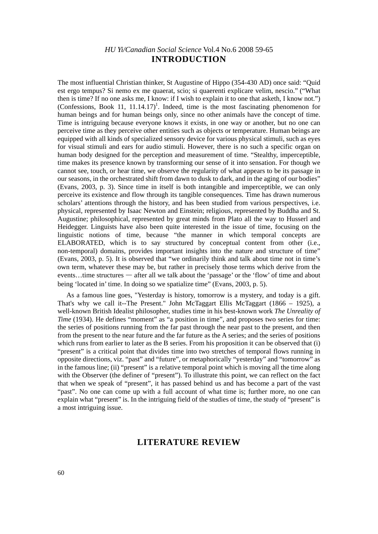## *HU Yi/Canadian Social Science* Vol.4 No.6 2008 59-65 **INTRODUCTION**

The most influential Christian thinker, St Augustine of Hippo (354-430 AD) once said: "Quid est ergo tempus? Si nemo ex me quaerat, scio; si quaerenti explicare velim, nescio." ("What then is time? If no one asks me, I know: if I wish to explain it to one that asketh, I know not.") (Confessions, Book 11,  $11.14.17$ )<sup>1</sup>. Indeed, time is the most fascinating phenomenon for human beings and for human beings only, since no other animals have the concept of time. Time is intriguing because everyone knows it exists, in one way or another, but no one can perceive time as they perceive other entities such as objects or temperature. Human beings are equipped with all kinds of specialized sensory device for various physical stimuli, such as eyes for visual stimuli and ears for audio stimuli. However, there is no such a specific organ on human body designed for the perception and measurement of time. "Stealthy, imperceptible, time makes its presence known by transforming our sense of it into sensation. For though we cannot see, touch, or hear time, we observe the regularity of what appears to be its passage in our seasons, in the orchestrated shift from dawn to dusk to dark, and in the aging of our bodies" (Evans, 2003, p. 3). Since time in itself is both intangible and imperceptible, we can only perceive its existence and flow through its tangible consequences. Time has drawn numerous scholars' attentions through the history, and has been studied from various perspectives, i.e. physical, represented by Isaac Newton and Einstein; religious, represented by Buddha and St. Augustine; philosophical, represented by great minds from Plato all the way to Husserl and Heidegger. Linguists have also been quite interested in the issue of time, focusing on the linguistic notions of time, because "the manner in which temporal concepts are ELABORATED, which is to say structured by conceptual content from other (i.e., non-temporal) domains, provides important insights into the nature and structure of time" (Evans, 2003, p. 5). It is observed that "we ordinarily think and talk about time not in time's own term, whatever these may be, but rather in precisely those terms which derive from the events…time structures — after all we talk about the 'passage' or the 'flow' of time and about being 'located in' time. In doing so we spatialize time" (Evans, 2003, p. 5).

As a famous line goes, "Yesterday is history, tomorrow is a mystery, and today is a gift. That's why we call it--The Present." John McTaggart Ellis McTaggart (1866 – 1925), a well-known British Idealist philosopher, studies time in his best-known work *The Unreality of Time* (1934). He defines "moment" as "a position in time", and proposes two series for time: the series of positions running from the far past through the near past to the present, and then from the present to the near future and the far future as the A series; and the series of positions which runs from earlier to later as the B series. From his proposition it can be observed that (i) "present" is a critical point that divides time into two stretches of temporal flows running in opposite directions, viz. "past" and "future", or metaphorically "yesterday" and "tomorrow" as in the famous line; (ii) "present" is a relative temporal point which is moving all the time along with the Observer (the definer of "present"). To illustrate this point, we can reflect on the fact that when we speak of "present", it has passed behind us and has become a part of the vast "past". No one can come up with a full account of what time is; further more, no one can explain what "present" is. In the intriguing field of the studies of time, the study of "present" is a most intriguing issue.

## **LITERATURE REVIEW**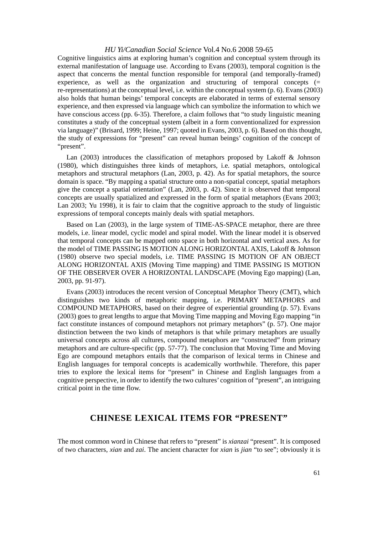Cognitive linguistics aims at exploring human's cognition and conceptual system through its external manifestation of language use. According to Evans (2003), temporal cognition is the aspect that concerns the mental function responsible for temporal (and temporally-framed) experience, as well as the organization and structuring of temporal concepts  $(=$ re-representations) at the conceptual level, i.e. within the conceptual system (p. 6). Evans (2003) also holds that human beings' temporal concepts are elaborated in terms of external sensory experience, and then expressed via language which can symbolize the information to which we have conscious access (pp. 6-35). Therefore, a claim follows that "to study linguistic meaning constitutes a study of the conceptual system (albeit in a form conventionalized for expression via language)" (Brisard, 1999; Heine, 1997; quoted in Evans, 2003, p. 6). Based on this thought, the study of expressions for "present" can reveal human beings' cognition of the concept of "present".

Lan (2003) introduces the classification of metaphors proposed by Lakoff & Johnson (1980), which distinguishes three kinds of metaphors, i.e. spatial metaphors, ontological metaphors and structural metaphors (Lan, 2003, p. 42). As for spatial metaphors, the source domain is space. "By mapping a spatial structure onto a non-spatial concept, spatial metaphors give the concept a spatial orientation" (Lan, 2003, p. 42). Since it is observed that temporal concepts are usually spatialized and expressed in the form of spatial metaphors (Evans 2003; Lan 2003; Yu 1998), it is fair to claim that the cognitive approach to the study of linguistic expressions of temporal concepts mainly deals with spatial metaphors.

Based on Lan (2003), in the large system of TIME-AS-SPACE metaphor, there are three models, i.e. linear model, cyclic model and spiral model. With the linear model it is observed that temporal concepts can be mapped onto space in both horizontal and vertical axes. As for the model of TIME PASSING IS MOTION ALONG HORIZONTAL AXIS, Lakoff & Johnson (1980) observe two special models, i.e. TIME PASSING IS MOTION OF AN OBJECT ALONG HORIZONTAL AXIS (Moving Time mapping) and TIME PASSING IS MOTION OF THE OBSERVER OVER A HORIZONTAL LANDSCAPE (Moving Ego mapping) (Lan, 2003, pp. 91-97).

Evans (2003) introduces the recent version of Conceptual Metaphor Theory (CMT), which distinguishes two kinds of metaphoric mapping, i.e. PRIMARY METAPHORS and COMPOUND METAPHORS, based on their degree of experiential grounding (p. 57). Evans (2003) goes to great lengths to argue that Moving Time mapping and Moving Ego mapping "in fact constitute instances of compound metaphors not primary metaphors" (p. 57). One major distinction between the two kinds of metaphors is that while primary metaphors are usually universal concepts across all cultures, compound metaphors are "constructed" from primary metaphors and are culture-specific (pp. 57-77). The conclusion that Moving Time and Moving Ego are compound metaphors entails that the comparison of lexical terms in Chinese and English languages for temporal concepts is academically worthwhile. Therefore, this paper tries to explore the lexical items for "present" in Chinese and English languages from a cognitive perspective, in order to identify the two cultures' cognition of "present", an intriguing critical point in the time flow.

## **CHINESE LEXICAL ITEMS FOR "PRESENT"**

The most common word in Chinese that refers to "present" is *xianzai* "present". It is composed of two characters, *xian* and *zai*. The ancient character for *xian* is *jian* "to see"; obviously it is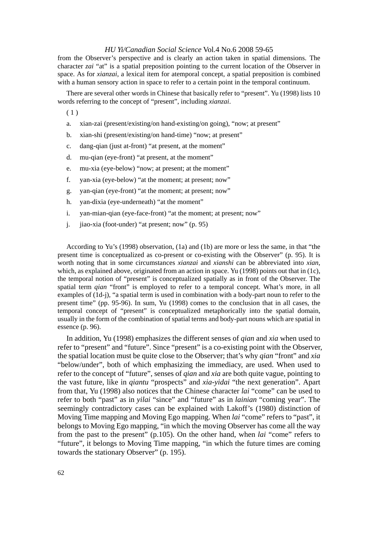from the Observer's perspective and is clearly an action taken in spatial dimensions. The character *zai* "at" is a spatial preposition pointing to the current location of the Observer in space. As for *xianzai*, a lexical item for atemporal concept, a spatial preposition is combined with a human sensory action in space to refer to a certain point in the temporal continuum.

There are several other words in Chinese that basically refer to "present". Yu (1998) lists 10 words referring to the concept of "present", including *xianzai*.

 $(1)$ 

- a. xian-zai (present/existing/on hand-existing/on going), "now; at present"
- b. xian-shi (present/existing/on hand-time) "now; at present"
- c. dang-qian (just at-front) "at present, at the moment"
- d. mu-qian (eye-front) "at present, at the moment"
- e. mu-xia (eye-below) "now; at present; at the moment"
- f. yan-xia (eye-below) "at the moment; at present; now"
- g. yan-qian (eye-front) "at the moment; at present; now"
- h. yan-dixia (eye-underneath) "at the moment"
- i. yan-mian-qian (eye-face-front) "at the moment; at present; now"
- j. jiao-xia (foot-under) "at present; now" (p. 95)

According to Yu's (1998) observation, (1a) and (1b) are more or less the same, in that "the present time is conceptualized as co-present or co-existing with the Observer" (p. 95). It is worth noting that in some circumstances *xianzai* and *xianshi* can be abbreviated into *xian*, which, as explained above, originated from an action in space. Yu (1998) points out that in (1c), the temporal notion of "present" is conceptualized spatially as in front of the Observer. The spatial term *qian* "front" is employed to refer to a temporal concept. What's more, in all examples of (1d-j), "a spatial term is used in combination with a body-part noun to refer to the present time" (pp. 95-96). In sum, Yu (1998) comes to the conclusion that in all cases, the temporal concept of "present" is conceptualized metaphorically into the spatial domain, usually in the form of the combination of spatial terms and body-part nouns which are spatial in essence (p. 96).

In addition, Yu (1998) emphasizes the different senses of *qian* and *xia* when used to refer to "present" and "future". Since "present" is a co-existing point with the Observer, the spatial location must be quite close to the Observer; that's why *qian* "front" and *xia* "below/under", both of which emphasizing the immediacy, are used. When used to refer to the concept of "future", senses of *qian* and *xia* are both quite vague, pointing to the vast future, like in *qiantu* "prospects" and *xia-yidai* "the next generation". Apart from that, Yu (1998) also notices that the Chinese character *lai* "come" can be used to refer to both "past" as in *yilai* "since" and "future" as in *lainian* "coming year". The seemingly contradictory cases can be explained with Lakoff's (1980) distinction of Moving Time mapping and Moving Ego mapping. When *lai* "come" refers to "past", it belongs to Moving Ego mapping, "in which the moving Observer has come all the way from the past to the present" (p.105). On the other hand, when *lai* "come" refers to "future", it belongs to Moving Time mapping, "in which the future times are coming towards the stationary Observer" (p. 195).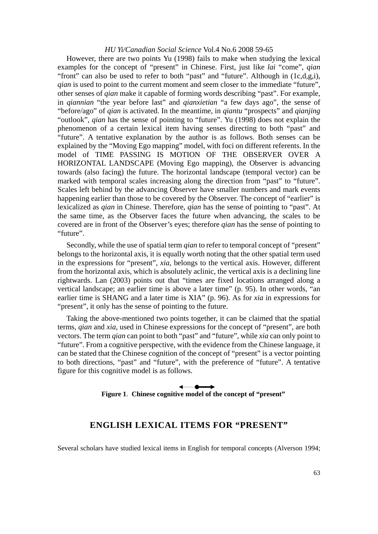However, there are two points Yu (1998) fails to make when studying the lexical examples for the concept of "present" in Chinese. First, just like *lai* "come", *qian* "front" can also be used to refer to both "past" and "future". Although in (1c,d,g,i), *gian* is used to point to the current moment and seem closer to the immediate "future", other senses of *qian* make it capable of forming words describing "past". For example, in *qiannian* "the year before last" and *qianxietian* "a few days ago", the sense of "before/ago" of *qian* is activated. In the meantime, in *qiantu* "prospects" and *qianjing* "outlook", *qian* has the sense of pointing to "future". Yu (1998) does not explain the phenomenon of a certain lexical item having senses directing to both "past" and "future". A tentative explanation by the author is as follows. Both senses can be explained by the "Moving Ego mapping" model, with foci on different referents. In the model of TIME PASSING IS MOTION OF THE OBSERVER OVER A HORIZONTAL LANDSCAPE (Moving Ego mapping), the Observer is advancing towards (also facing) the future. The horizontal landscape (temporal vector) can be marked with temporal scales increasing along the direction from "past" to "future". Scales left behind by the advancing Observer have smaller numbers and mark events happening earlier than those to be covered by the Observer. The concept of "earlier" is lexicalized as *qian* in Chinese. Therefore, *qian* has the sense of pointing to "past". At the same time, as the Observer faces the future when advancing, the scales to be covered are in front of the Observer's eyes; therefore *qian* has the sense of pointing to "future".

Secondly, while the use of spatial term *qian* to refer to temporal concept of "present" belongs to the horizontal axis, it is equally worth noting that the other spatial term used in the expressions for "present", *xia*, belongs to the vertical axis. However, different from the horizontal axis, which is absolutely aclinic, the vertical axis is a declining line rightwards. Lan (2003) points out that "times are fixed locations arranged along a vertical landscape; an earlier time is above a later time" (p. 95). In other words, "an earlier time is SHANG and a later time is XIA" (p. 96). As for *xia* in expressions for "present", it only has the sense of pointing to the future.

Taking the above-mentioned two points together, it can be claimed that the spatial terms, *qian* and *xia*, used in Chinese expressions for the concept of "present", are both vectors. The term *qian* can point to both "past" and "future", while *xia* can only point to "future". From a cognitive perspective, with the evidence from the Chinese language, it can be stated that the Chinese cognition of the concept of "present" is a vector pointing to both directions, "past" and "future", with the preference of "future". A tentative figure for this cognitive model is as follows.

## **Figure 1**. **Chinese cognitive model of the concept of "present"**

## **ENGLISH LEXICAL ITEMS FOR "PRESENT"**

Several scholars have studied lexical items in English for temporal concepts (Alverson 1994;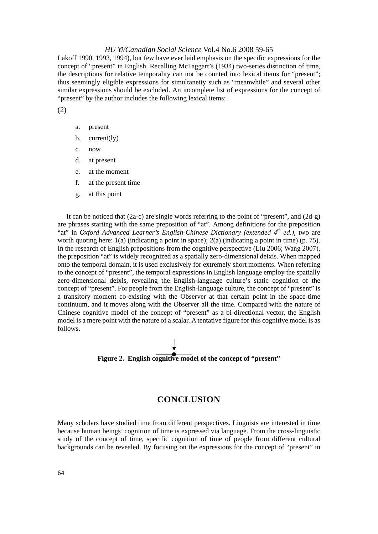Lakoff 1990, 1993, 1994), but few have ever laid emphasis on the specific expressions for the concept of "present" in English. Recalling McTaggart's (1934) two-series distinction of time, the descriptions for relative temporality can not be counted into lexical items for "present"; thus seemingly eligible expressions for simultaneity such as "meanwhile" and several other similar expressions should be excluded. An incomplete list of expressions for the concept of "present" by the author includes the following lexical items:

(2)

- a. present
- b. current(ly)
- c. now
- d. at present
- e. at the moment
- f. at the present time
- g. at this point

It can be noticed that (2a-c) are single words referring to the point of "present", and (2d-g) are phrases starting with the same preposition of "at". Among definitions for the preposition "at" in *Oxford Advanced Learner's English-Chinese Dictionary (extended 4th ed.)*, two are worth quoting here: 1(a) (indicating a point in space); 2(a) (indicating a point in time) (p. 75). In the research of English prepositions from the cognitive perspective (Liu 2006; Wang 2007), the preposition "at" is widely recognized as a spatially zero-dimensional deixis. When mapped onto the temporal domain, it is used exclusively for extremely short moments. When referring to the concept of "present", the temporal expressions in English language employ the spatially zero-dimensional deixis, revealing the English-language culture's static cognition of the concept of "present". For people from the English-language culture, the concept of "present" is a transitory moment co-existing with the Observer at that certain point in the space-time continuum, and it moves along with the Observer all the time. Compared with the nature of Chinese cognitive model of the concept of "present" as a bi-directional vector, the English model is a mere point with the nature of a scalar. A tentative figure for this cognitive model is as follows.



## **CONCLUSION**

Many scholars have studied time from different perspectives. Linguists are interested in time because human beings' cognition of time is expressed via language. From the cross-linguistic study of the concept of time, specific cognition of time of people from different cultural backgrounds can be revealed. By focusing on the expressions for the concept of "present" in